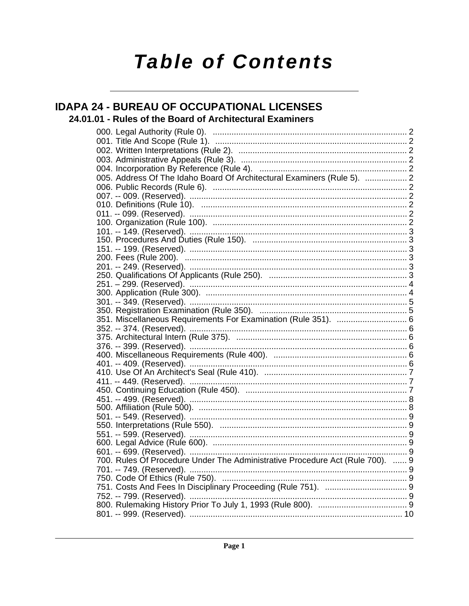# **Table of Contents**

### **IDAPA 24 - BUREAU OF OCCUPATIONAL LICENSES**

### 24.01.01 - Rules of the Board of Architectural Examiners

| 005. Address Of The Idaho Board Of Architectural Examiners (Rule 5).  2       |  |
|-------------------------------------------------------------------------------|--|
|                                                                               |  |
|                                                                               |  |
|                                                                               |  |
|                                                                               |  |
|                                                                               |  |
|                                                                               |  |
|                                                                               |  |
|                                                                               |  |
|                                                                               |  |
|                                                                               |  |
|                                                                               |  |
|                                                                               |  |
|                                                                               |  |
|                                                                               |  |
|                                                                               |  |
| 351. Miscellaneous Requirements For Examination (Rule 351).  6                |  |
|                                                                               |  |
|                                                                               |  |
|                                                                               |  |
|                                                                               |  |
|                                                                               |  |
|                                                                               |  |
|                                                                               |  |
|                                                                               |  |
|                                                                               |  |
|                                                                               |  |
|                                                                               |  |
|                                                                               |  |
|                                                                               |  |
|                                                                               |  |
| 700. Rules Of Procedure Under The Administrative Procedure Act (Rule 700).  9 |  |
|                                                                               |  |
|                                                                               |  |
|                                                                               |  |
|                                                                               |  |
|                                                                               |  |
|                                                                               |  |
|                                                                               |  |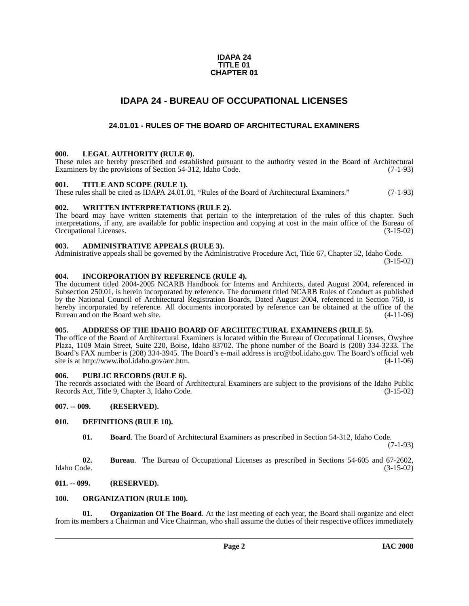#### **IDAPA 24 TITLE 01 CHAPTER 01**

### **IDAPA 24 - BUREAU OF OCCUPATIONAL LICENSES**

### **24.01.01 - RULES OF THE BOARD OF ARCHITECTURAL EXAMINERS**

#### <span id="page-1-2"></span><span id="page-1-1"></span><span id="page-1-0"></span>**000. LEGAL AUTHORITY (RULE 0).**

These rules are hereby prescribed and established pursuant to the authority vested in the Board of Architectural Examiners by the provisions of Section 54-312, Idaho Code. (7-1-93)

#### <span id="page-1-3"></span>**001. TITLE AND SCOPE (RULE 1).**

These rules shall be cited as IDAPA 24.01.01, "Rules of the Board of Architectural Examiners." (7-1-93)

#### <span id="page-1-4"></span>**002. WRITTEN INTERPRETATIONS (RULE 2).**

The board may have written statements that pertain to the interpretation of the rules of this chapter. Such interpretations, if any, are available for public inspection and copying at cost in the main office of the Bureau of Occupational Licenses. (3-15-02) Occupational Licenses.

#### <span id="page-1-5"></span>**003. ADMINISTRATIVE APPEALS (RULE 3).**

Administrative appeals shall be governed by the Administrative Procedure Act, Title 67, Chapter 52, Idaho Code.

(3-15-02)

#### <span id="page-1-6"></span>**004. INCORPORATION BY REFERENCE (RULE 4).**

The document titled 2004-2005 NCARB Handbook for Interns and Architects, dated August 2004, referenced in Subsection 250.01, is herein incorporated by reference. The document titled NCARB Rules of Conduct as published by the National Council of Architectural Registration Boards, Dated August 2004, referenced in Section 750, is hereby incorporated by reference. All documents incorporated by reference can be obtained at the office of the Bureau and on the Board web site. (4-11-06) Bureau and on the Board web site.

#### <span id="page-1-7"></span>**005. ADDRESS OF THE IDAHO BOARD OF ARCHITECTURAL EXAMINERS (RULE 5).**

[The office of the Board of Architectural Examiners is located within the Bureau of Occupational Licenses, Owyhee](mailto:arc@ibol.idaho.gov)  Plaza, 1109 Main Street, Suite 220, Boise, Idaho 83702. The phone number of the Board is (208) 334-3233. The Board's FAX number is (208) 334-3945. The Board's e-mail address is arc@ibol.idaho.gov. The Board's official web [site is at](mailto:arc@ibol.idaho.gov) http://www.ibol.idaho.gov/arc.htm.

#### <span id="page-1-8"></span>**006. PUBLIC RECORDS (RULE 6).**

The records associated with the Board of Architectural Examiners are subject to the provisions of the Idaho Public Records Act, Title 9, Chapter 3, Idaho Code. (3-15-02)

#### <span id="page-1-9"></span>**007. -- 009. (RESERVED).**

#### <span id="page-1-10"></span>**010. DEFINITIONS (RULE 10).**

<span id="page-1-13"></span>**01. Board**. The Board of Architectural Examiners as prescribed in Section 54-312, Idaho Code.

(7-1-93)

**02. Bureau**. The Bureau of Occupational Licenses as prescribed in Sections 54-605 and 67-2602, Idaho Code. (3-15-02)

#### <span id="page-1-11"></span>**011. -- 099. (RESERVED).**

#### <span id="page-1-14"></span><span id="page-1-12"></span>**100. ORGANIZATION (RULE 100).**

<span id="page-1-15"></span>**01. Organization Of The Board**. At the last meeting of each year, the Board shall organize and elect from its members a Chairman and Vice Chairman, who shall assume the duties of their respective offices immediately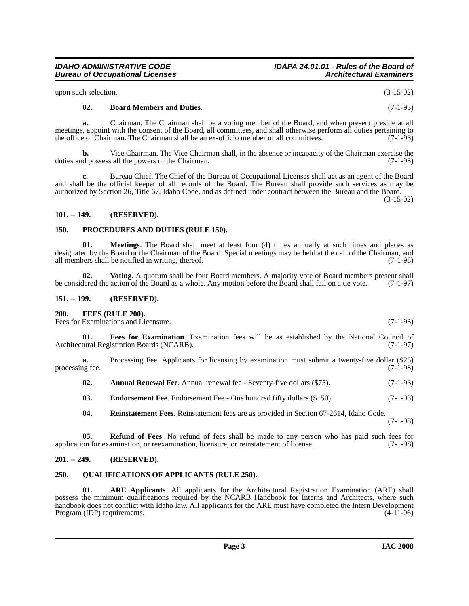upon such selection. (3-15-02)

*Bureau of Occupational Licenses* 

#### **02. Board Members and Duties**. (7-1-93)

**a.** Chairman. The Chairman shall be a voting member of the Board, and when present preside at all meetings, appoint with the consent of the Board, all committees, and shall otherwise perform all duties pertaining to<br>the office of Chairman. The Chairman shall be an ex-officio member of all committees. (7-1-93) the office of Chairman. The Chairman shall be an ex-officio member of all committees.

**b.** Vice Chairman. The Vice Chairman shall, in the absence or incapacity of the Chairman exercise the duties and possess all the powers of the Chairman. (7-1-93)

**c.** Bureau Chief. The Chief of the Bureau of Occupational Licenses shall act as an agent of the Board and shall be the official keeper of all records of the Board. The Bureau shall provide such services as may be authorized by Section 26, Title 67, Idaho Code, and as defined under contract between the Bureau and the Board.

(3-15-02)

#### <span id="page-2-0"></span>**101. -- 149. (RESERVED).**

#### <span id="page-2-13"></span><span id="page-2-1"></span>**150. PROCEDURES AND DUTIES (RULE 150).**

<span id="page-2-12"></span>**01. Meetings**. The Board shall meet at least four (4) times annually at such times and places as designated by the Board or the Chairman of the Board. Special meetings may be held at the call of the Chairman, and all members shall be notified in writing, thereof. (7-1-98) all members shall be notified in writing, thereof.

<span id="page-2-17"></span>**02.** Voting. A quorum shall be four Board members. A majority vote of Board members present shall dered the action of the Board as a whole. Any motion before the Board shall fail on a tie vote. (7-1-97) be considered the action of the Board as a whole. Any motion before the Board shall fail on a tie vote.

#### <span id="page-2-2"></span>**151. -- 199. (RESERVED).**

#### <span id="page-2-10"></span><span id="page-2-3"></span>**200. FEES (RULE 200).**

Fees for Examinations and Licensure. (7-1-93)

<span id="page-2-11"></span>**01. Fees for Examination**. Examination fees will be as established by the National Council of Architectural Registration Boards (NCARB). (7-1-97)

**a.** Processing Fee. Applicants for licensing by examination must submit a twenty-five dollar (\$25) processing fee. (7-1-98)

<span id="page-2-7"></span>**02.** Annual Renewal Fee. Annual renewal fee - Seventy-five dollars (\$75). (7-1-93)

<span id="page-2-9"></span>**03.** Endorsement Fee. Endorsement Fee - One hundred fifty dollars (\$150). (7-1-93)

<span id="page-2-16"></span><span id="page-2-15"></span>**04. Reinstatement Fees**. Reinstatement fees are as provided in Section 67-2614, Idaho Code. (7-1-98)

**05. Refund of Fees**. No refund of fees shall be made to any person who has paid such fees for application for examination, or reexamination, licensure, or reinstatement of license. (7-1-98)

#### <span id="page-2-4"></span>**201. -- 249. (RESERVED).**

#### <span id="page-2-14"></span><span id="page-2-5"></span>**250. QUALIFICATIONS OF APPLICANTS (RULE 250).**

<span id="page-2-6"></span>**01. ARE Applicants**. All applicants for the Architectural Registration Examination (ARE) shall possess the minimum qualifications required by the NCARB Handbook for Interns and Architects, where such handbook does not conflict with Idaho law. All applicants for the ARE must have completed the Intern Development<br>Program (IDP) requirements. (4-11-06) Program (IDP) requirements.

<span id="page-2-8"></span>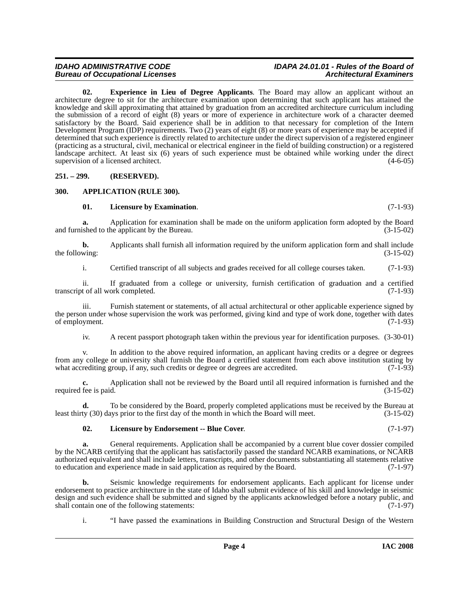# **Bureau of Occupational Licenses**

# *IDAHO ADMINISTRATIVE CODE IDAPA 24.01.01 - Rules of the Board of*

<span id="page-3-3"></span>**02. Experience in Lieu of Degree Applicants**. The Board may allow an applicant without an architecture degree to sit for the architecture examination upon determining that such applicant has attained the knowledge and skill approximating that attained by graduation from an accredited architecture curriculum including the submission of a record of eight (8) years or more of experience in architecture work of a character deemed satisfactory by the Board. Said experience shall be in addition to that necessary for completion of the Intern Development Program (IDP) requirements. Two (2) years of eight (8) or more years of experience may be accepted if determined that such experience is directly related to architecture under the direct supervision of a registered engineer (practicing as a structural, civil, mechanical or electrical engineer in the field of building construction) or a registered landscape architect. At least six (6) years of such experience must be obtained while working under the direct supervision of a licensed architect. (4-6-05)

<span id="page-3-0"></span>**251. – 299. (RESERVED).**

#### <span id="page-3-1"></span>**300. APPLICATION (RULE 300).**

#### <span id="page-3-4"></span><span id="page-3-2"></span>**01. Licensure by Examination**. (7-1-93)

**a.** Application for examination shall be made on the uniform application form adopted by the Board and furnished to the applicant by the Bureau. (3-15-02)

**b.** Applicants shall furnish all information required by the uniform application form and shall include wing: (3-15-02) the following:

i. Certified transcript of all subjects and grades received for all college courses taken. (7-1-93)

ii. If graduated from a college or university, furnish certification of graduation and a certified transcript of all work completed. (7-1-93)

iii. Furnish statement or statements, of all actual architectural or other applicable experience signed by the person under whose supervision the work was performed, giving kind and type of work done, together with dates of employment. (7-1-93) of employment.

iv. A recent passport photograph taken within the previous year for identification purposes. (3-30-01)

v. In addition to the above required information, an applicant having credits or a degree or degrees from any college or university shall furnish the Board a certified statement from each above institution stating by what accrediting group, if any, such credits or degree or degrees are accredited. (7-1-93) what accrediting group, if any, such credits or degree or degrees are accredited.

**c.** Application shall not be reviewed by the Board until all required information is furnished and the fee is paid.  $(3-15-02)$ required fee is paid.

**d.** To be considered by the Board, properly completed applications must be received by the Bureau at least thirty (30) days prior to the first day of the month in which the Board will meet. (3-15-02)

### <span id="page-3-5"></span>**02. Licensure by Endorsement -- Blue Cover**. (7-1-97)

**a.** General requirements. Application shall be accompanied by a current blue cover dossier compiled by the NCARB certifying that the applicant has satisfactorily passed the standard NCARB examinations, or NCARB authorized equivalent and shall include letters, transcripts, and other documents substantiating all statements relative to education and experience made in said application as required by the Board. (7-1-97) to education and experience made in said application as required by the Board.

**b.** Seismic knowledge requirements for endorsement applicants. Each applicant for license under endorsement to practice architecture in the state of Idaho shall submit evidence of his skill and knowledge in seismic design and such evidence shall be submitted and signed by the applicants acknowledged before a notary public, and shall contain one of the following statements: (7-1-97) shall contain one of the following statements:

i. "I have passed the examinations in Building Construction and Structural Design of the Western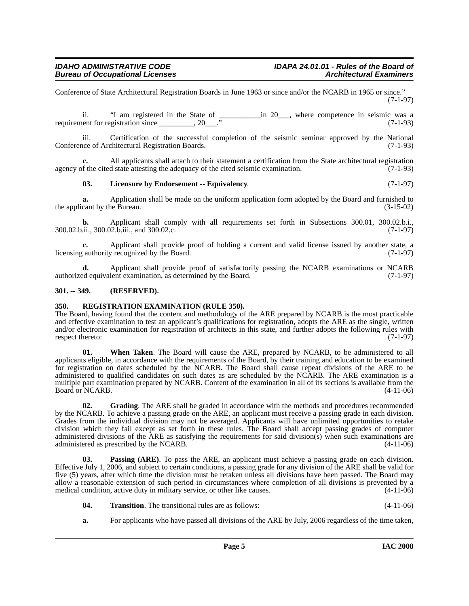Conference of State Architectural Registration Boards in June 1963 or since and/or the NCARB in 1965 or since." (7-1-97)

ii. "I am registered in the State of  $\frac{100}{100}$  in 20\_\_\_, where competence in seismic was a requirement for registration since \_\_\_\_\_\_\_\_, 20\_\_\_." (7-1-93)

iii. Certification of the successful completion of the seismic seminar approved by the National nee of Architectural Registration Boards. (7-1-93) Conference of Architectural Registration Boards.

**c.** All applicants shall attach to their statement a certification from the State architectural registration agency of the cited state attesting the adequacy of the cited seismic examination.  $(7-1-93)$ 

#### <span id="page-4-3"></span>**03. Licensure by Endorsement -- Equivalency**. (7-1-97)

**a.** Application shall be made on the uniform application form adopted by the Board and furnished to cant by the Bureau. (3-15-02) the applicant by the Bureau.

**b.** Applicant shall comply with all requirements set forth in Subsections 300.01, 300.02.b.i., 300.02.b.ii., 300.02.b.iii., and 300.02.c. (7-1-97)

**c.** Applicant shall provide proof of holding a current and valid license issued by another state, a cauthority recognized by the Board. (7-1-97) licensing authority recognized by the Board.

**d.** Applicant shall provide proof of satisfactorily passing the NCARB examinations or NCARB authorized equivalent examination, as determined by the Board. (7-1-97)

#### <span id="page-4-0"></span>**301. -- 349. (RESERVED).**

#### <span id="page-4-5"></span><span id="page-4-1"></span>**350. REGISTRATION EXAMINATION (RULE 350).**

The Board, having found that the content and methodology of the ARE prepared by NCARB is the most practicable and effective examination to test an applicant's qualifications for registration, adopts the ARE as the single, written and/or electronic examination for registration of architects in this state, and further adopts the following rules with respect thereto: (7-1-97)

**01. When Taken**. The Board will cause the ARE, prepared by NCARB, to be administered to all applicants eligible, in accordance with the requirements of the Board, by their training and education to be examined for registration on dates scheduled by the NCARB. The Board shall cause repeat divisions of the ARE to be administered to qualified candidates on such dates as are scheduled by the NCARB. The ARE examination is a multiple part examination prepared by NCARB. Content of the examination in all of its sections is available from the Board or NCARB. (4-11-06) Board or NCARB.

<span id="page-4-2"></span>**02. Grading**. The ARE shall be graded in accordance with the methods and procedures recommended by the NCARB. To achieve a passing grade on the ARE, an applicant must receive a passing grade in each division. Grades from the individual division may not be averaged. Applicants will have unlimited opportunities to retake division which they fail except as set forth in these rules. The Board shall accept passing grades of computer administered divisions of the ARE as satisfying the requirements for said division(s) when such examinations are administered as prescribed by the NCARB. (4-11-06)

<span id="page-4-4"></span>**03. Passing (ARE)**. To pass the ARE, an applicant must achieve a passing grade on each division. Effective July 1, 2006, and subject to certain conditions, a passing grade for any division of the ARE shall be valid for five (5) years, after which time the division must be retaken unless all divisions have been passed. The Board may allow a reasonable extension of such period in circumstances where completion of all divisions is prevented by a medical condition, active duty in military service, or other like causes. (4-11-06)

- <span id="page-4-6"></span>**04. Transition**. The transitional rules are as follows: (4-11-06)
- **a.** For applicants who have passed all divisions of the ARE by July, 2006 regardless of the time taken,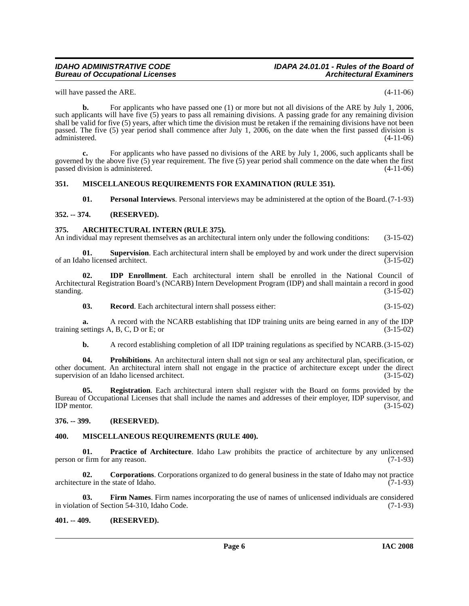### *Bureau of Occupational Licenses*

# *IDAHO ADMINISTRATIVE CODE IDAPA 24.01.01 - Rules of the Board of*

will have passed the ARE. (4-11-06)

**b.** For applicants who have passed one (1) or more but not all divisions of the ARE by July 1, 2006, such applicants will have five (5) years to pass all remaining divisions. A passing grade for any remaining division shall be valid for five (5) years, after which time the division must be retaken if the remaining divisions have not been passed. The five (5) year period shall commence after July 1, 2006, on the date when the first passed division is administered.

**c.** For applicants who have passed no divisions of the ARE by July 1, 2006, such applicants shall be governed by the above five (5) year requirement. The five (5) year period shall commence on the date when the first passed division is administered. (4-11-06)

#### <span id="page-5-0"></span>**351. MISCELLANEOUS REQUIREMENTS FOR EXAMINATION (RULE 351).**

<span id="page-5-17"></span><span id="page-5-12"></span><span id="page-5-11"></span><span id="page-5-6"></span>**01. Personal Interviews**. Personal interviews may be administered at the option of the Board.(7-1-93)

#### <span id="page-5-1"></span>**352. -- 374. (RESERVED).**

#### <span id="page-5-2"></span>**375. ARCHITECTURAL INTERN (RULE 375).**

An individual may represent themselves as an architectural intern only under the following conditions: (3-15-02)

**01. Supervision**. Each architectural intern shall be employed by and work under the direct supervision ho licensed architect. (3-15-02) of an Idaho licensed architect.

**02. IDP Enrollment**. Each architectural intern shall be enrolled in the National Council of Architectural Registration Board's (NCARB) Intern Development Program (IDP) and shall maintain a record in good standing.  $(3-15-02)$ 

<span id="page-5-15"></span><span id="page-5-9"></span>**03. Record**. Each architectural intern shall possess either: (3-15-02)

**a.** A record with the NCARB establishing that IDP training units are being earned in any of the IDP settings A, B, C, D or E; or training settings  $A$ ,  $B$ ,  $C$ ,  $D$  or  $E$ ; or

<span id="page-5-16"></span><span id="page-5-14"></span>**b.** A record establishing completion of all IDP training regulations as specified by NCARB.(3-15-02)

**04. Prohibitions**. An architectural intern shall not sign or seal any architectural plan, specification, or other document. An architectural intern shall not engage in the practice of architecture except under the direct supervision of an Idaho licensed architect. (3-15-02)

**05. Registration**. Each architectural intern shall register with the Board on forms provided by the Bureau of Occupational Licenses that shall include the names and addresses of their employer, IDP supervisor, and  $IDP$  mentor.  $(3-15-02)$ 

#### <span id="page-5-3"></span>**376. -- 399. (RESERVED).**

#### <span id="page-5-10"></span><span id="page-5-4"></span>**400. MISCELLANEOUS REQUIREMENTS (RULE 400).**

<span id="page-5-13"></span>**01. Practice of Architecture**. Idaho Law prohibits the practice of architecture by any unlicensed r firm for any reason. (7-1-93) person or firm for any reason.

<span id="page-5-7"></span>**02. Corporations**. Corporations organized to do general business in the state of Idaho may not practice architecture in the state of Idaho. (7-1-93)

<span id="page-5-8"></span>**03. Firm Names**. Firm names incorporating the use of names of unlicensed individuals are considered on of Section 54-310, Idaho Code. (7-1-93) in violation of Section 54-310, Idaho Code.

#### <span id="page-5-5"></span>**401. -- 409. (RESERVED).**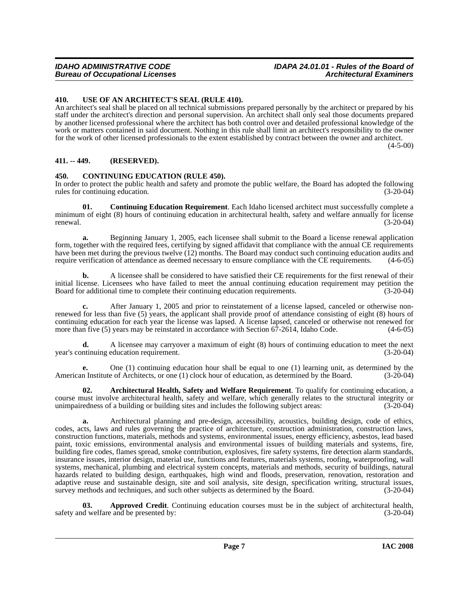#### <span id="page-6-0"></span>**410. USE OF AN ARCHITECT'S SEAL (RULE 410).**

An architect's seal shall be placed on all technical submissions prepared personally by the architect or prepared by his staff under the architect's direction and personal supervision. An architect shall only seal those documents prepared by another licensed professional where the architect has both control over and detailed professional knowledge of the work or matters contained in said document. Nothing in this rule shall limit an architect's responsibility to the owner for the work of other licensed professionals to the extent established by contract between the owner and architect.

 $(4 - 5 - 00)$ 

#### <span id="page-6-1"></span>**411. -- 449. (RESERVED).**

#### <span id="page-6-4"></span><span id="page-6-2"></span>**450. CONTINUING EDUCATION (RULE 450).**

In order to protect the public health and safety and promote the public welfare, the Board has adopted the following rules for continuing education. (3-20-04)

<span id="page-6-5"></span>**01. Continuing Education Requirement**. Each Idaho licensed architect must successfully complete a minimum of eight (8) hours of continuing education in architectural health, safety and welfare annually for license renewal. (3-20-04)

**a.** Beginning January 1, 2005, each licensee shall submit to the Board a license renewal application form, together with the required fees, certifying by signed affidavit that compliance with the annual CE requirements have been met during the previous twelve (12) months. The Board may conduct such continuing education audits and require verification of attendance as deemed necessary to ensure compliance with the CE requirements. (4-6-05 require verification of attendance as deemed necessary to ensure compliance with the CE requirements.

**b.** A licensee shall be considered to have satisfied their CE requirements for the first renewal of their initial license. Licensees who have failed to meet the annual continuing education requirement may petition the Board for additional time to complete their continuing education requirements. (3-20-04)

**c.** After January 1, 2005 and prior to reinstatement of a license lapsed, canceled or otherwise nonrenewed for less than five (5) years, the applicant shall provide proof of attendance consisting of eight (8) hours of continuing education for each year the license was lapsed. A license lapsed, canceled or otherwise not renewed for more than five (5) years may be reinstated in accordance with Section 67-2614, Idaho Code. (4-6-05) more than five  $(5)$  years may be reinstated in accordance with Section  $67-2614$ , Idaho Code.

**d.** A licensee may carryover a maximum of eight (8) hours of continuing education to meet the next (3-20-04) (3-20-04) year's continuing education requirement.

**e.** One (1) continuing education hour shall be equal to one (1) learning unit, as determined by the American Institute of Architects, or one (1) clock hour of education, as determined by the Board. (3-20-04)

<span id="page-6-3"></span>**02. Architectural Health, Safety and Welfare Requirement**. To qualify for continuing education, a course must involve architectural health, safety and welfare, which generally relates to the structural integrity or unimpairedness of a building or building sites and includes the following subject areas: (3-20-04)

**a.** Architectural planning and pre-design, accessibility, acoustics, building design, code of ethics, codes, acts, laws and rules governing the practice of architecture, construction administration, construction laws, construction functions, materials, methods and systems, environmental issues, energy efficiency, asbestos, lead based paint, toxic emissions, environmental analysis and environmental issues of building materials and systems, fire, building fire codes, flames spread, smoke contribution, explosives, fire safety systems, fire detection alarm standards, insurance issues, interior design, material use, functions and features, materials systems, roofing, waterproofing, wall systems, mechanical, plumbing and electrical system concepts, materials and methods, security of buildings, natural hazards related to building design, earthquakes, high wind and floods, preservation, renovation, restoration and adaptive reuse and sustainable design, site and soil analysis, site design, specification writing, structural issues, survey methods and techniques, and such other subjects as determined by the Board. (3-20-04)

**03. Approved Credit**. Continuing education courses must be in the subject of architectural health, d welfare and be presented by: (3-20-04) safety and welfare and be presented by: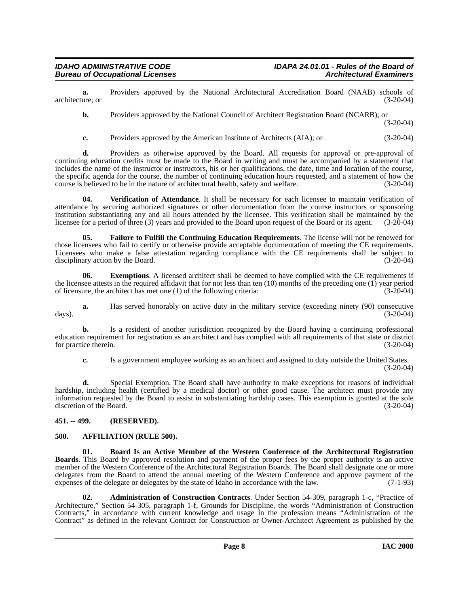**a.** Providers approved by the National Architectural Accreditation Board (NAAB) schools of ure: or architecture; or

**b.** Providers approved by the National Council of Architect Registration Board (NCARB); or

(3-20-04)

**c.** Providers approved by the American Institute of Architects (AIA); or (3-20-04)

**d.** Providers as otherwise approved by the Board. All requests for approval or pre-approval of continuing education credits must be made to the Board in writing and must be accompanied by a statement that includes the name of the instructor or instructors, his or her qualifications, the date, time and location of the course, the specific agenda for the course, the number of continuing education hours requested, and a statement of how the course is believed to be in the nature of architectural health, safety and welfare. (3-20-04) course is believed to be in the nature of architectural health, safety and welfare.

<span id="page-7-6"></span>**04. Verification of Attendance**. It shall be necessary for each licensee to maintain verification of attendance by securing authorized signatures or other documentation from the course instructors or sponsoring institution substantiating any and all hours attended by the licensee. This verification shall be maintained by the licensee for a period of three (3) years and provided to the Board upon request of the Board or its agent. (3-20-04)

<span id="page-7-5"></span>**05. Failure to Fulfill the Continuing Education Requirements**. The license will not be renewed for those licensees who fail to certify or otherwise provide acceptable documentation of meeting the CE requirements. Licensees who make a false attestation regarding compliance with the CE requirements shall be subject to disciplinary action by the Board. (3-20-04) disciplinary action by the Board.

**06.** Exemptions. A licensed architect shall be deemed to have complied with the CE requirements if the licensee attests in the required affidavit that for not less than ten  $(10)$  months of the preceding one  $(1)$  year period of licensure, the architect has met one (1) of the following criteria: (3-20-04)

**a.** Has served honorably on active duty in the military service (exceeding ninety (90) consecutive days). (3-20-04)

**b.** Is a resident of another jurisdiction recognized by the Board having a continuing professional education requirement for registration as an architect and has complied with all requirements of that state or district for practice therein.

**c.** Is a government employee working as an architect and assigned to duty outside the United States. (3-20-04)

**d.** Special Exemption. The Board shall have authority to make exceptions for reasons of individual hardship, including health (certified by a medical doctor) or other good cause. The architect must provide any information requested by the Board to assist in substantiating hardship cases. This exemption is granted at the sole discretion of the Board. (3-20-04)

#### <span id="page-7-0"></span>**451. -- 499. (RESERVED).**

#### <span id="page-7-3"></span><span id="page-7-1"></span>**500. AFFILIATION (RULE 500).**

<span id="page-7-4"></span>**01. Board Is an Active Member of the Western Conference of the Architectural Registration Boards**. This Board by approved resolution and payment of the proper fees by the proper authority is an active member of the Western Conference of the Architectural Registration Boards. The Board shall designate one or more delegates from the Board to attend the annual meeting of the Western Conference and approve payment of the expenses of the delegate or delegates by the state of Idaho in accordance with the law. (7-1-93)

<span id="page-7-2"></span>**02. Administration of Construction Contracts**. Under Section 54-309, paragraph 1-c, "Practice of Architecture," Section 54-305, paragraph 1-f, Grounds for Discipline, the words "Administration of Construction Contracts," in accordance with current knowledge and usage in the profession means "Administration of the Contract" as defined in the relevant Contract for Construction or Owner-Architect Agreement as published by the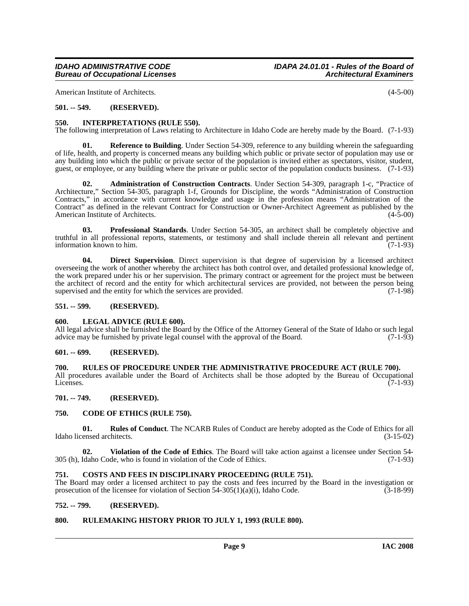American Institute of Architects. (4-5-00)

#### <span id="page-8-0"></span>**501. -- 549. (RESERVED).**

#### <span id="page-8-15"></span><span id="page-8-1"></span>**550. INTERPRETATIONS (RULE 550).**

The following interpretation of Laws relating to Architecture in Idaho Code are hereby made by the Board. (7-1-93)

<span id="page-8-18"></span>**01. Reference to Building**. Under Section 54-309, reference to any building wherein the safeguarding of life, health, and property is concerned means any building which public or private sector of population may use or any building into which the public or private sector of the population is invited either as spectators, visitor, student, guest, or employee, or any building where the private or public sector of the population conducts business. (7-1-93)

<span id="page-8-11"></span>**02. Administration of Construction Contracts**. Under Section 54-309, paragraph 1-c, "Practice of Architecture," Section 54-305, paragraph 1-f, Grounds for Discipline, the words "Administration of Construction Contracts," in accordance with current knowledge and usage in the profession means "Administration of the Contract" as defined in the relevant Contract for Construction or Owner-Architect Agreement as published by the American Institute of Architects. (4-5-00) American Institute of Architects.

<span id="page-8-17"></span>**03. Professional Standards**. Under Section 54-305, an architect shall be completely objective and truthful in all professional reports, statements, or testimony and shall include therein all relevant and pertinent information known to him.  $(7-1-93)$ 

<span id="page-8-14"></span>**04. Direct Supervision**. Direct supervision is that degree of supervision by a licensed architect overseeing the work of another whereby the architect has both control over, and detailed professional knowledge of, the work prepared under his or her supervision. The primary contract or agreement for the project must be between the architect of record and the entity for which architectural services are provided, not between the person being supervised and the entity for which the services are provided.  $(7-1-98)$ 

#### <span id="page-8-2"></span>**551. -- 599. (RESERVED).**

#### <span id="page-8-16"></span><span id="page-8-3"></span>**600. LEGAL ADVICE (RULE 600).**

All legal advice shall be furnished the Board by the Office of the Attorney General of the State of Idaho or such legal advice may be furnished by private legal counsel with the approval of the Board. (7-1-93)

#### <span id="page-8-4"></span>**601. -- 699. (RESERVED).**

#### <span id="page-8-5"></span>**700. RULES OF PROCEDURE UNDER THE ADMINISTRATIVE PROCEDURE ACT (RULE 700).**

All procedures available under the Board of Architects shall be those adopted by the Bureau of Occupational Licenses.  $(7-1-93)$ 

#### <span id="page-8-6"></span>**701. -- 749. (RESERVED).**

#### <span id="page-8-12"></span><span id="page-8-7"></span>**750. CODE OF ETHICS (RULE 750).**

<span id="page-8-19"></span>**01. Rules of Conduct**. The NCARB Rules of Conduct are hereby adopted as the Code of Ethics for all ensed architects. (3-15-02) Idaho licensed architects.

<span id="page-8-20"></span>**02. Violation of the Code of Ethics**. The Board will take action against a licensee under Section 54- 305 (h), Idaho Code, who is found in violation of the Code of Ethics. (7-1-93)

#### <span id="page-8-13"></span><span id="page-8-8"></span>**751. COSTS AND FEES IN DISCIPLINARY PROCEEDING (RULE 751).**

The Board may order a licensed architect to pay the costs and fees incurred by the Board in the investigation or prosecution of the licensee for violation of Section 54-305(1)(a)(i), Idaho Code.  $(3-18-99)$ 

#### <span id="page-8-9"></span>**752. -- 799. (RESERVED).**

#### <span id="page-8-10"></span>**800. RULEMAKING HISTORY PRIOR TO JULY 1, 1993 (RULE 800).**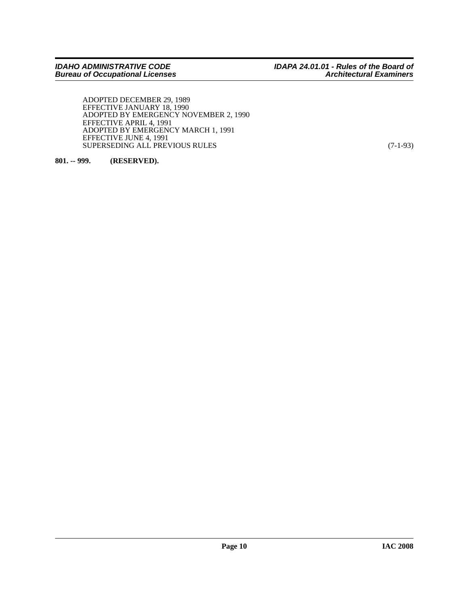ADOPTED DECEMBER 29, 1989 EFFECTIVE JANUARY 18, 1990 ADOPTED BY EMERGENCY NOVEMBER 2, 1990 EFFECTIVE APRIL 4, 1991 ADOPTED BY EMERGENCY MARCH 1, 1991 EFFECTIVE JUNE 4, 1991 SUPERSEDING ALL PREVIOUS RULES (7-1-93)

<span id="page-9-0"></span>**801. -- 999. (RESERVED).**